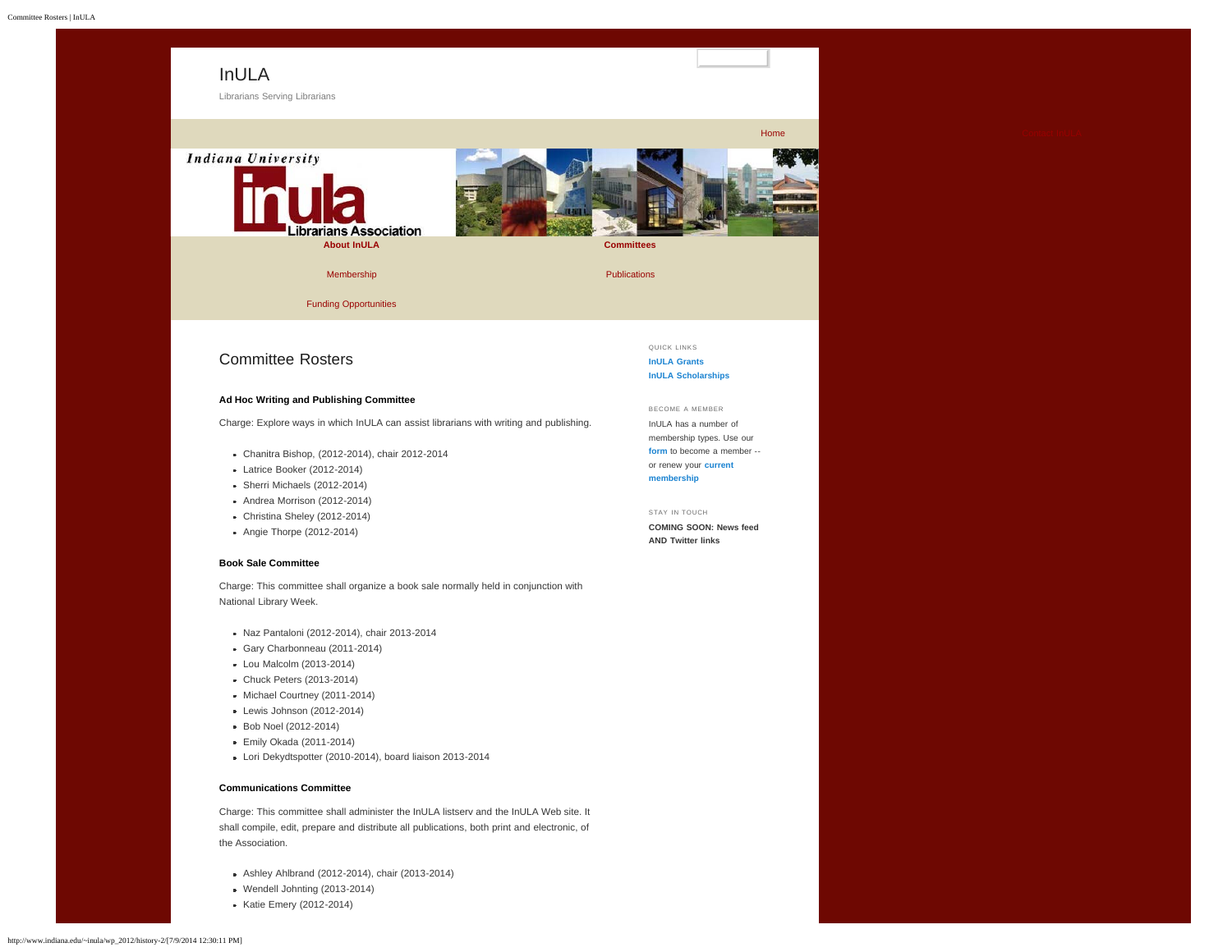<span id="page-0-0"></span>

[Funding Opportunities](http://www.indiana.edu/~inula/wp_2012/funding-opportunities/)

# Committee Rosters

# **Ad Hoc Writing and Publishing Committee**

Charge: Explore ways in which InULA can assist librarians with writing and publishing.

- Chanitra Bishop, (2012-2014), chair 2012-2014
- Latrice Booker (2012-2014)
- Sherri Michaels (2012-2014)
- Andrea Morrison (2012-2014)
- Christina Sheley (2012-2014)
- Angie Thorpe (2012-2014)

## **Book Sale Committee**

Charge: This committee shall organize a book sale normally held in conjunction with National Library Week.

- Naz Pantaloni (2012-2014), chair 2013-2014
- Gary Charbonneau (2011-2014)
- Lou Malcolm (2013-2014)
- Chuck Peters (2013-2014)
- Michael Courtney (2011-2014)
- Lewis Johnson (2012-2014)
- Bob Noel (2012-2014)
- **Emily Okada (2011-2014)**
- Lori Dekydtspotter (2010-2014), board liaison 2013-2014

### **Communications Committee**

Charge: This committee shall administer the InULA listserv and the InULA Web site. It shall compile, edit, prepare and distribute all publications, both print and electronic, of the Association.

- Ashley Ahlbrand (2012-2014), chair (2013-2014)
- Wendell Johnting (2013-2014)
- Katie Emery (2012-2014)

QUICK LINKS **[InULA Grants](http://www.indiana.edu/~inula/wp_2012/grants/) [InULA Scholarships](http://www.indiana.edu/~inula/wp_2012/scholarships/)**

BECOME A MEMBER InULA has a number of membership types. Use our

**[form](http://www.indiana.edu/~inula/wp_2012/history-2/?page_id=42)** to become a member - or renew your **[current](http://www.indiana.edu/~inula/wp_2012/history-2/?page_id=44) [membership](http://www.indiana.edu/~inula/wp_2012/history-2/?page_id=44)**

STAY IN TOUCH **COMING SOON: News feed**

**AND Twitter links**

**[Home](http://www.indiana.edu/~inula/wp_2012/) [Contact InULA](http://www.indiana.edu/~inula/wp_2012/contact-inula/)**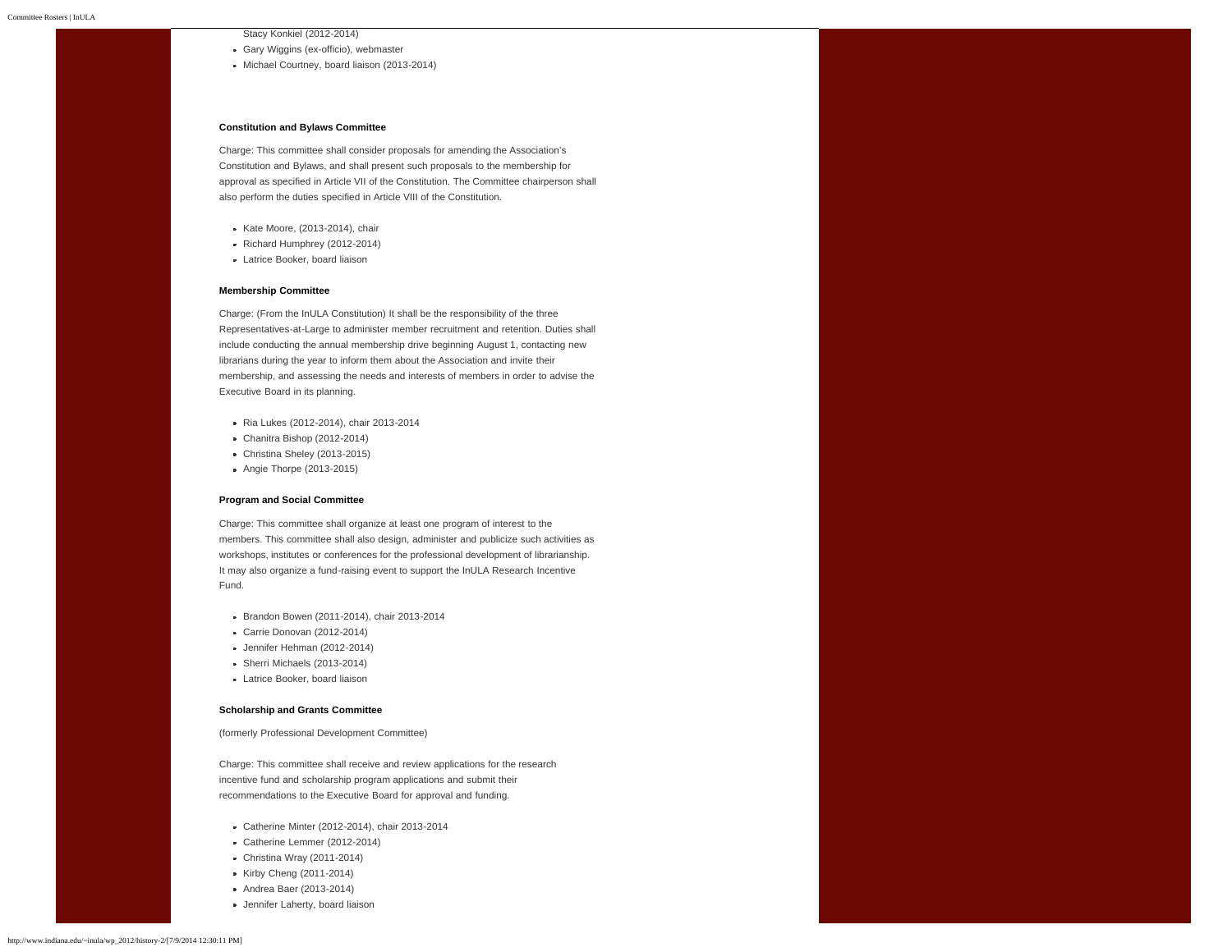Stacy Konkiel (2012-2014)

- Gary Wiggins (ex-officio), webmaster
- Michael Courtney, board liaison (2013-2014)

#### **Constitution and Bylaws Committee**

Charge: This committee shall consider proposals for amending the Association's Constitution and Bylaws, and shall present such proposals to the membership for approval as specified in Article VII of the Constitution. The Committee chairperson shall also perform the duties specified in Article VIII of the Constitution.

- Kate Moore, (2013-2014), chair
- Richard Humphrey (2012-2014)
- Latrice Booker, board liaison

#### **Membership Committee**

Charge: (From the InULA Constitution) It shall be the responsibility of the three Representatives-at-Large to administer member recruitment and retention. Duties shall include conducting the annual membership drive beginning August 1, contacting new librarians during the year to inform them about the Association and invite their membership, and assessing the needs and interests of members in order to advise the Executive Board in its planning.

- Ria Lukes (2012-2014), chair 2013-2014
- Chanitra Bishop (2012-2014)
- Christina Sheley (2013-2015)
- Angie Thorpe (2013-2015)

#### **Program and Social Committee**

Charge: This committee shall organize at least one program of interest to the members. This committee shall also design, administer and publicize such activities as workshops, institutes or conferences for the professional development of librarianship. It may also organize a fund-raising event to support the InULA Research Incentive Fund.

- Brandon Bowen (2011-2014), chair 2013-2014
- Carrie Donovan (2012-2014)
- Jennifer Hehman (2012-2014)
- Sherri Michaels (2013-2014)
- **Latrice Booker, board liaison**

#### **Scholarship and Grants Committee**

(formerly Professional Development Committee)

Charge: This committee shall receive and review applications for the research incentive fund and scholarship program applications and submit their recommendations to the Executive Board for approval and funding.

- Catherine Minter (2012-2014), chair 2013-2014
- Catherine Lemmer (2012-2014)
- Christina Wray (2011-2014)
- Kirby Cheng (2011-2014)
- Andrea Baer (2013-2014)
- Jennifer Laherty, board liaison